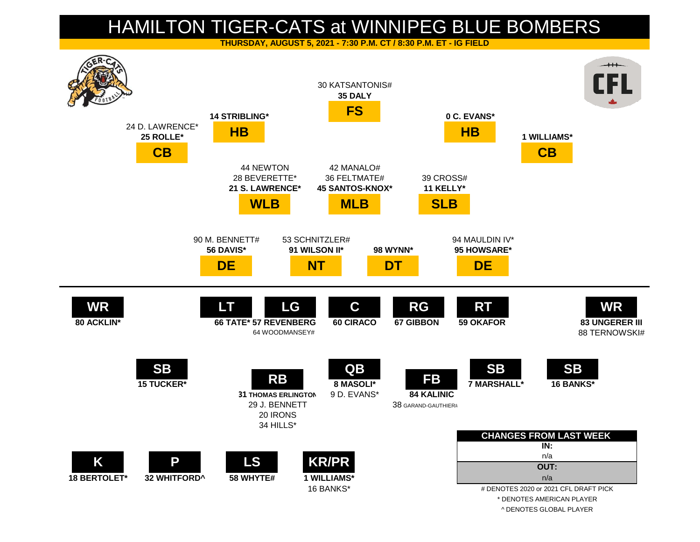## HAMILTON TIGER-CATS at WINNIPEG BLUE BOMBERS

**THURSDAY, AUGUST 5, 2021 - 7:30 P.M. CT / 8:30 P.M. ET - IG FIELD**



^ DENOTES GLOBAL PLAYER